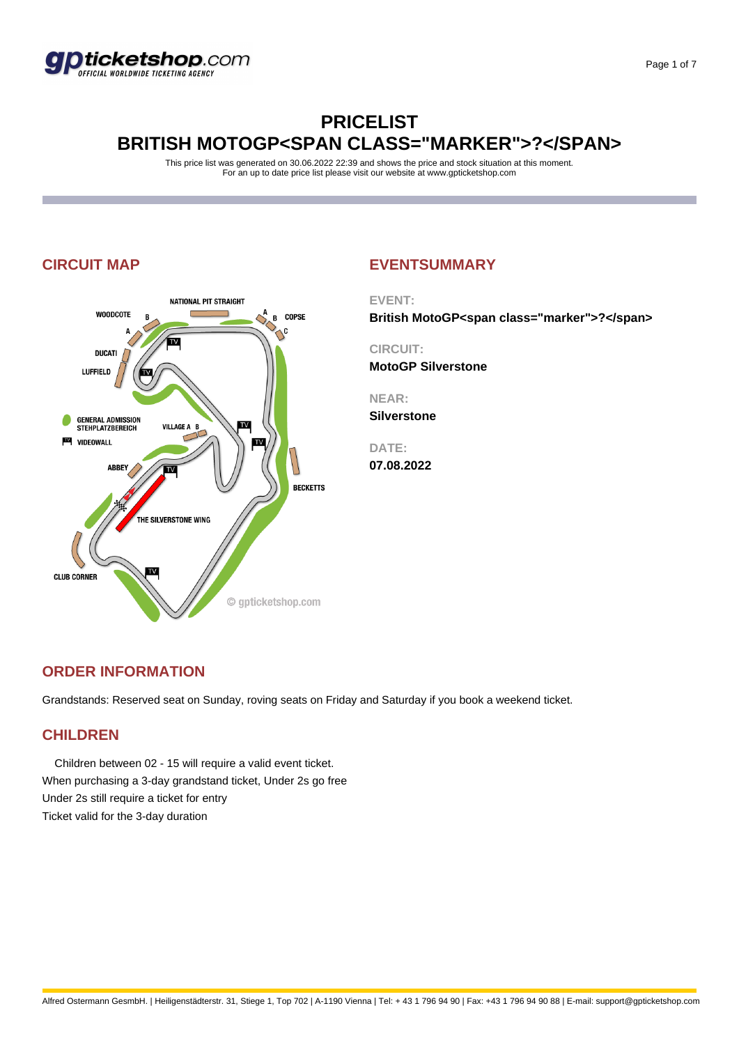

## **PRICELIST BRITISH MOTOGP<SPAN CLASS="MARKER">?</SPAN>**

This price list was generated on 30.06.2022 22:39 and shows the price and stock situation at this moment. For an up to date price list please visit our website at www.gpticketshop.com



### **CIRCUIT MAP EVENTSUMMARY**

**EVENT:**

**British MotoGP<span class="marker">?</span>**

**CIRCUIT: MotoGP Silverstone**

**NEAR:**

**Silverstone**

**DATE:**

**07.08.2022**

### **ORDER INFORMATION**

Grandstands: Reserved seat on Sunday, roving seats on Friday and Saturday if you book a weekend ticket.

### **CHILDREN**

 Children between 02 - 15 will require a valid event ticket. When purchasing a 3-day grandstand ticket, Under 2s go free Under 2s still require a ticket for entry Ticket valid for the 3-day duration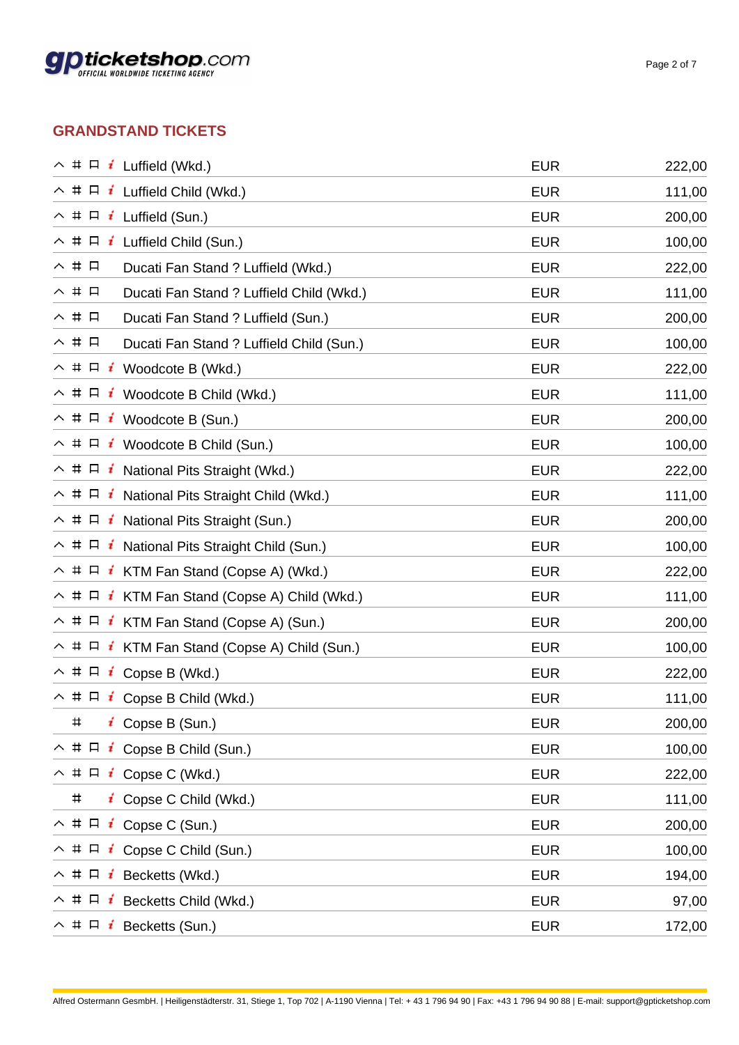

### **GRANDSTAND TICKETS**

| $\land$ # $\Box$ <b>i</b> Luffield (Wkd.)                      | <b>EUR</b> | 222,00 |
|----------------------------------------------------------------|------------|--------|
| $\land$ # $\Box$ <b>i</b> Luffield Child (Wkd.)                | <b>EUR</b> | 111,00 |
| $\land$ # $\Box$ <b>i</b> Luffield (Sun.)                      | <b>EUR</b> | 200,00 |
| $\land$ # $\Box$ <b>i</b> Luffield Child (Sun.)                | <b>EUR</b> | 100,00 |
| ヘ # 口<br>Ducati Fan Stand ? Luffield (Wkd.)                    | <b>EUR</b> | 222,00 |
| ヘ # 口<br>Ducati Fan Stand ? Luffield Child (Wkd.)              | <b>EUR</b> | 111,00 |
| ヘ # 口<br>Ducati Fan Stand ? Luffield (Sun.)                    | <b>EUR</b> | 200,00 |
| ヘ # 口<br>Ducati Fan Stand ? Luffield Child (Sun.)              | <b>EUR</b> | 100,00 |
| $\land$ # $\Box$ <b>i</b> Woodcote B (Wkd.)                    | <b>EUR</b> | 222,00 |
| $\land$ # $\Box$ <b>i</b> Woodcote B Child (Wkd.)              | <b>EUR</b> | 111,00 |
| $\land$ # $\Box$ <b>i</b> Woodcote B (Sun.)                    | <b>EUR</b> | 200,00 |
| $\land$ # $\Box$ <b>i</b> Woodcote B Child (Sun.)              | <b>EUR</b> | 100,00 |
| $\land$ # $\Box$ <b>i</b> National Pits Straight (Wkd.)        | <b>EUR</b> | 222,00 |
| $\land$ # $\Box$ <b>i</b> National Pits Straight Child (Wkd.)  | <b>EUR</b> | 111,00 |
| $\land$ # $\Box$ <b>i</b> National Pits Straight (Sun.)        | <b>EUR</b> | 200,00 |
| $\land$ # $\Box$ <b>i</b> National Pits Straight Child (Sun.)  | <b>EUR</b> | 100,00 |
| $\land$ # $\Box$ <b>i</b> KTM Fan Stand (Copse A) (Wkd.)       | <b>EUR</b> | 222,00 |
| $\land$ # $\Box$ <b>i</b> KTM Fan Stand (Copse A) Child (Wkd.) | <b>EUR</b> | 111,00 |
| $\land$ # $\Box$ <b>i</b> KTM Fan Stand (Copse A) (Sun.)       | <b>EUR</b> | 200,00 |
| $\land$ # $\Box$ <b>i</b> KTM Fan Stand (Copse A) Child (Sun.) | <b>EUR</b> | 100,00 |
| $\land$ # $\Box$ <b>i</b> Copse B (Wkd.)                       | <b>EUR</b> | 222,00 |
| $\land$ # $\Box$ <b>i</b> Copse B Child (Wkd.)                 | <b>EUR</b> | 111,00 |
| $\pmb{\mp}$<br>Copse B (Sun.)                                  | <b>EUR</b> | 200,00 |
| $\land$ # $\Box$ <b>i</b> Copse B Child (Sun.)                 | <b>EUR</b> | 100,00 |
| $\land$ # $\Box$ <b>i</b> Copse C (Wkd.)                       | <b>EUR</b> | 222,00 |
| #<br>$\mathbf{i}$ Copse C Child (Wkd.)                         | <b>EUR</b> | 111,00 |
| $\land$ # $\Box$ <b>i</b> Copse C (Sun.)                       | <b>EUR</b> | 200,00 |
| $\land$ # $\Box$ <b>i</b> Copse C Child (Sun.)                 | <b>EUR</b> | 100,00 |
| $\land$ # $\Box$ <b>i</b> Becketts (Wkd.)                      | <b>EUR</b> | 194,00 |
| $\land$ # $\Box$ <b>i</b> Becketts Child (Wkd.)                | <b>EUR</b> | 97,00  |
| $\land$ # $\Box$ <b>i</b> Becketts (Sun.)                      | <b>EUR</b> | 172,00 |
|                                                                |            |        |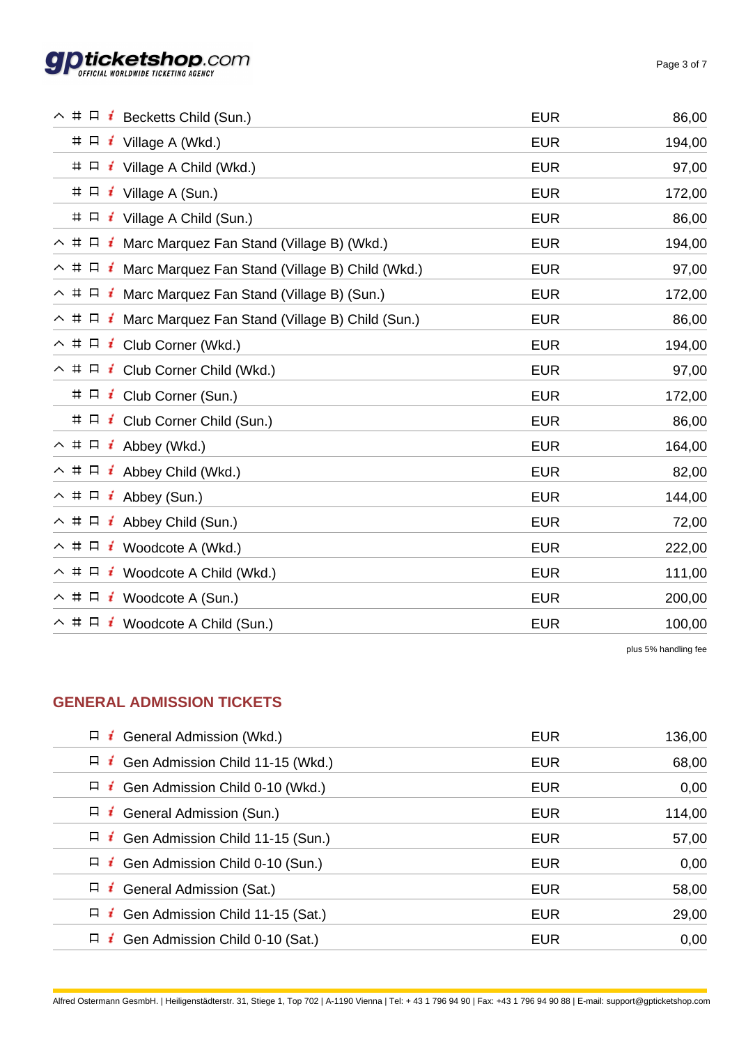

÷.

| $\land$ # $\Box$ <b>i</b> Becketts Child (Sun.)                           | <b>EUR</b> | 86,00  |
|---------------------------------------------------------------------------|------------|--------|
| $\# \Box \neq$ Village A (Wkd.)                                           | <b>EUR</b> | 194,00 |
| # $\Box$ <b>i</b> Village A Child (Wkd.)                                  | <b>EUR</b> | 97,00  |
| $\# \Box$ <i>i</i> Village A (Sun.)                                       | <b>EUR</b> | 172,00 |
| $\# \Box$ <i>i</i> Village A Child (Sun.)                                 | <b>EUR</b> | 86,00  |
| $\land$ # $\Box$ <b>i</b> Marc Marquez Fan Stand (Village B) (Wkd.)       | <b>EUR</b> | 194,00 |
| $\land$ # $\Box$ <b>i</b> Marc Marquez Fan Stand (Village B) Child (Wkd.) | <b>EUR</b> | 97,00  |
| $\land$ # $\Box$ <i>i</i> Marc Marquez Fan Stand (Village B) (Sun.)       | <b>EUR</b> | 172,00 |
| $\land$ # $\Box$ <i>i</i> Marc Marquez Fan Stand (Village B) Child (Sun.) | <b>EUR</b> | 86,00  |
| $\land$ # $\Box$ <b>i</b> Club Corner (Wkd.)                              | <b>EUR</b> | 194,00 |
| $\land$ # $\Box$ <b>i</b> Club Corner Child (Wkd.)                        | <b>EUR</b> | 97,00  |
| $\# \Box$ i Club Corner (Sun.)                                            | <b>EUR</b> | 172,00 |
| # $\Box$ <b>i</b> Club Corner Child (Sun.)                                | <b>EUR</b> | 86,00  |
| $\land$ # $\Box$ <b>i</b> Abbey (Wkd.)                                    | <b>EUR</b> | 164,00 |
| $\land$ # $\Box$ <b>i</b> Abbey Child (Wkd.)                              | <b>EUR</b> | 82,00  |
| $\land$ # $\Box$ <b>i</b> Abbey (Sun.)                                    | <b>EUR</b> | 144,00 |
| $\land$ # $\Box$ <b>i</b> Abbey Child (Sun.)                              | <b>EUR</b> | 72,00  |
| $\land$ # $\Box$ <b>i</b> Woodcote A (Wkd.)                               | <b>EUR</b> | 222,00 |
| $\land$ # $\Box$ <b>i</b> Woodcote A Child (Wkd.)                         | <b>EUR</b> | 111,00 |
| $\land$ # $\Box$ <b>i</b> Woodcote A (Sun.)                               | <b>EUR</b> | 200,00 |
| $\land$ # $\Box$ <b>i</b> Woodcote A Child (Sun.)                         | <b>EUR</b> | 100,00 |
|                                                                           |            |        |

plus 5% handling fee

### **GENERAL ADMISSION TICKETS**

| $\Box$ i<br>General Admission (Wkd.)            | <b>EUR</b> | 136,00 |
|-------------------------------------------------|------------|--------|
| Gen Admission Child 11-15 (Wkd.)<br>$\Box$ i    | <b>EUR</b> | 68,00  |
| Gen Admission Child 0-10 (Wkd.)<br>$\Box$ i     | <b>EUR</b> | 0,00   |
| <b>General Admission (Sun.)</b><br>$\Box$ i     | <b>EUR</b> | 114,00 |
| Gen Admission Child 11-15 (Sun.)<br>$\Box$ i    | EUR        | 57,00  |
| $\Box$ <b>i</b> Gen Admission Child 0-10 (Sun.) | <b>EUR</b> | 0,00   |
| $\Box$ <b>i</b> General Admission (Sat.)        | <b>EUR</b> | 58,00  |
| Gen Admission Child 11-15 (Sat.)<br>$\Box$ i    | <b>EUR</b> | 29,00  |
| $\Box$ i<br>Gen Admission Child 0-10 (Sat.)     | <b>EUR</b> | 0,00   |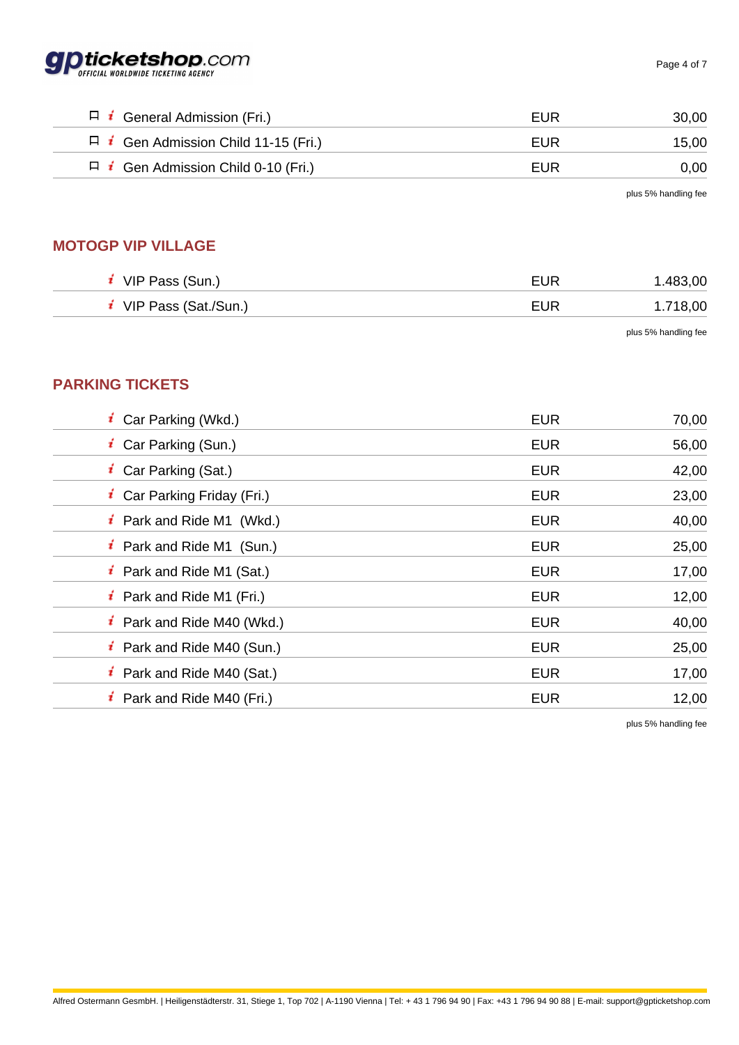

| $\Box$ <b>i</b> General Admission (Fri.)        | EUR | 30,00 |
|-------------------------------------------------|-----|-------|
| $\Box$ i Gen Admission Child 11-15 (Fri.)       | EUR | 15.00 |
| $\Box$ <b>i</b> Gen Admission Child 0-10 (Fri.) | EUR | 0.00  |

plus 5% handling fee

### **MOTOGP VIP VILLAGE**

| VIP Pass (Sun.)      | EUR        | 1.483,00 |
|----------------------|------------|----------|
| VIP Pass (Sat./Sun.) | <b>EUR</b> | 1.718,00 |
|                      |            |          |

plus 5% handling fee

### **PARKING TICKETS**

| <b>i</b> Car Parking (Wkd.)           | <b>EUR</b> | 70,00 |
|---------------------------------------|------------|-------|
| <i>i</i> Car Parking (Sun.)           | <b>EUR</b> | 56,00 |
| <b>i</b> Car Parking (Sat.)           | <b>EUR</b> | 42,00 |
| <b>i</b> Car Parking Friday (Fri.)    | <b>EUR</b> | 23,00 |
| <b>i</b> Park and Ride M1 (Wkd.)      | <b>EUR</b> | 40,00 |
| <i>i</i> Park and Ride M1 (Sun.)      | <b>EUR</b> | 25,00 |
| <b>i</b> Park and Ride M1 (Sat.)      | <b>EUR</b> | 17,00 |
| <b>i</b> Park and Ride M1 (Fri.)      | <b>EUR</b> | 12,00 |
| $\mathbf{i}$ Park and Ride M40 (Wkd.) | <b>EUR</b> | 40,00 |
| <i>i</i> Park and Ride M40 (Sun.)     | <b>EUR</b> | 25,00 |
| <b>i</b> Park and Ride M40 (Sat.)     | <b>EUR</b> | 17,00 |
| <b>i</b> Park and Ride M40 (Fri.)     | <b>EUR</b> | 12,00 |
|                                       |            |       |

plus 5% handling fee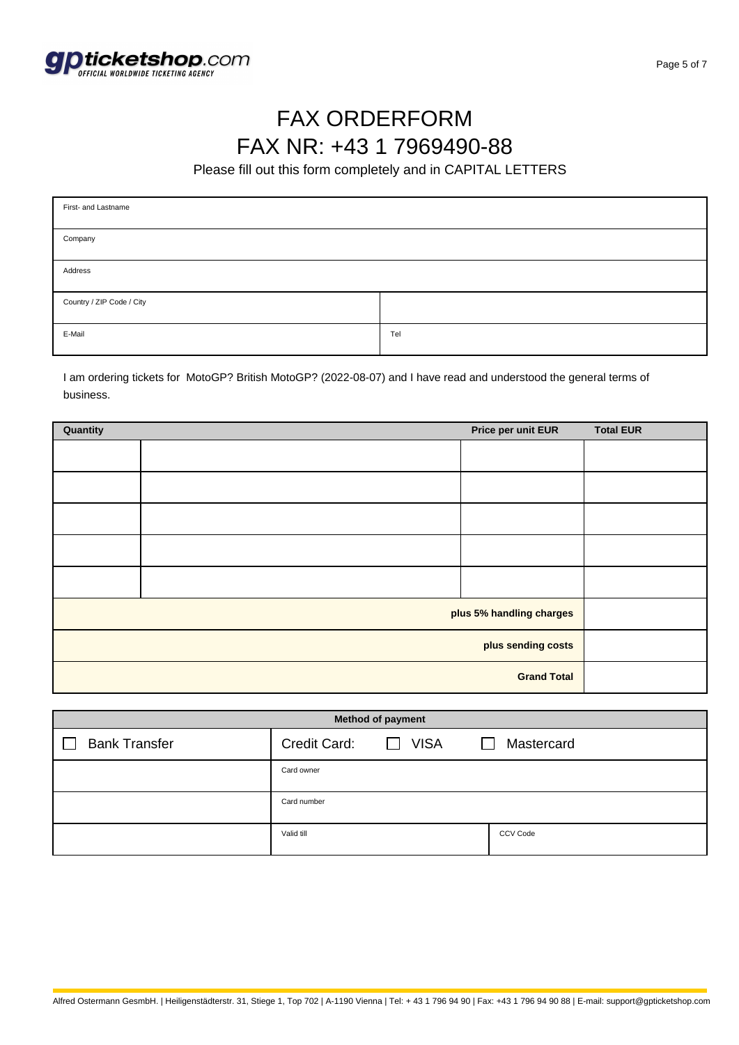

# FAX ORDERFORM FAX NR: +43 1 7969490-88

Please fill out this form completely and in CAPITAL LETTERS

| First- and Lastname       |     |  |  |
|---------------------------|-----|--|--|
| Company                   |     |  |  |
| Address                   |     |  |  |
| Country / ZIP Code / City |     |  |  |
| E-Mail                    | Tel |  |  |

I am ordering tickets for MotoGP? British MotoGP? (2022-08-07) and I have read and understood the general terms of business.

| Quantity                 |  | Price per unit EUR | <b>Total EUR</b> |
|--------------------------|--|--------------------|------------------|
|                          |  |                    |                  |
|                          |  |                    |                  |
|                          |  |                    |                  |
|                          |  |                    |                  |
|                          |  |                    |                  |
| plus 5% handling charges |  |                    |                  |
| plus sending costs       |  |                    |                  |
| <b>Grand Total</b>       |  |                    |                  |

| <b>Method of payment</b> |              |                             |            |
|--------------------------|--------------|-----------------------------|------------|
| <b>Bank Transfer</b>     | Credit Card: | <b>VISA</b><br>$\mathbf{1}$ | Mastercard |
|                          | Card owner   |                             |            |
|                          | Card number  |                             |            |
|                          | Valid till   |                             | CCV Code   |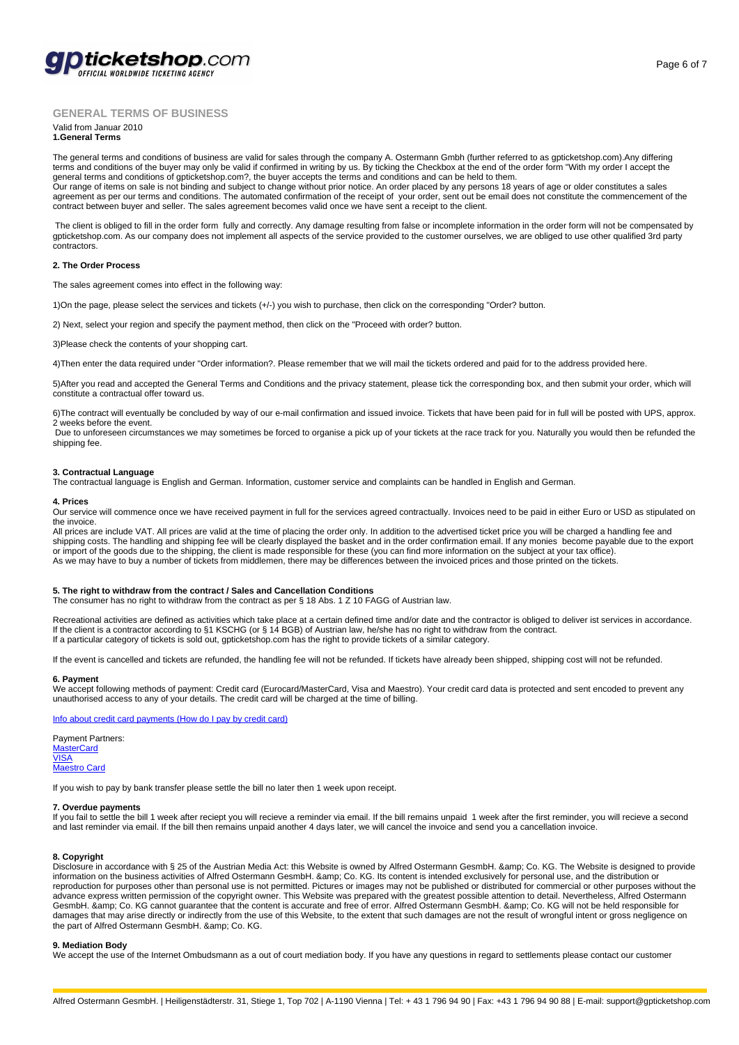

### **GENERAL TERMS OF BUSINESS**

#### Valid from Januar 2010 **1.General Terms**

The general terms and conditions of business are valid for sales through the company A. Ostermann Gmbh (further referred to as gpticketshop.com).Any differing terms and conditions of the buyer may only be valid if confirmed in writing by us. By ticking the Checkbox at the end of the order form "With my order I accept the general terms and conditions of gpticketshop.com?, the buyer accepts the terms and conditions and can be held to them.<br>Our range of items on sale is not binding and subject to change without prior notice. An order placed b agreement as per our terms and conditions. The automated confirmation of the receipt of your order, sent out be email does not constitute the commencement of the

contract between buyer and seller. The sales agreement becomes valid once we have sent a receipt to the client.

 The client is obliged to fill in the order form fully and correctly. Any damage resulting from false or incomplete information in the order form will not be compensated by gpticketshop.com. As our company does not implement all aspects of the service provided to the customer ourselves, we are obliged to use other qualified 3rd party contractors.

#### **2. The Order Process**

The sales agreement comes into effect in the following way:

1)On the page, please select the services and tickets (+/-) you wish to purchase, then click on the corresponding "Order? button.

2) Next, select your region and specify the payment method, then click on the "Proceed with order? button.

3)Please check the contents of your shopping cart.

4)Then enter the data required under "Order information?. Please remember that we will mail the tickets ordered and paid for to the address provided here.

5)After you read and accepted the General Terms and Conditions and the privacy statement, please tick the corresponding box, and then submit your order, which will constitute a contractual offer toward us.

6)The contract will eventually be concluded by way of our e-mail confirmation and issued invoice. Tickets that have been paid for in full will be posted with UPS, approx. 2 weeks before the event.

 Due to unforeseen circumstances we may sometimes be forced to organise a pick up of your tickets at the race track for you. Naturally you would then be refunded the shipping fee.

#### **3. Contractual Language**

The contractual language is English and German. Information, customer service and complaints can be handled in English and German.

#### **4. Prices**

Our service will commence once we have received payment in full for the services agreed contractually. Invoices need to be paid in either Euro or USD as stipulated on the invoice.

All prices are include VAT. All prices are valid at the time of placing the order only. In addition to the advertised ticket price you will be charged a handling fee and shipping costs. The handling and shipping fee will be clearly displayed the basket and in the order confirmation email. If any monies become payable due to the export or import of the goods due to the shipping, the client is made responsible for these (you can find more information on the subject at your tax office).<br>As we may have to buy a number of tickets from middlemen, there may be

#### **5. The right to withdraw from the contract / Sales and Cancellation Conditions**

The consumer has no right to withdraw from the contract as per § 18 Abs. 1 Z 10 FAGG of Austrian law.

Recreational activities are defined as activities which take place at a certain defined time and/or date and the contractor is obliged to deliver ist services in accordance. If the client is a contractor according to §1 KSCHG (or § 14 BGB) of Austrian law, he/she has no right to withdraw from the contract. If a particular category of tickets is sold out, gpticketshop.com has the right to provide tickets of a similar category.

If the event is cancelled and tickets are refunded, the handling fee will not be refunded. If tickets have already been shipped, shipping cost will not be refunded.

#### **6. Payment**

We accept following methods of payment: Credit card (Eurocard/MasterCard, Visa and Maestro). Your credit card data is protected and sent encoded to prevent any unauthorised access to any of your details. The credit card will be charged at the time of billing.

Info about credit card payments (How do I pay by credit card)

Payment Partners: **MasterCard** VISA Maestro Card

[If you wish to pay by bank transfer please settle the bill no late](http://www.gpticketshop.com/en/faq.html#2.2.1)r then 1 week upon receipt.

#### **[7. Overdue](http://www.mastercard.com/at/) payments**

[If you](http://www.visa.at/) fail to settle the bill 1 week after reciept you will recieve a reminder via email. If the bill remains unpaid 1 week after the first reminder, you will recieve a second [and last remin](http://www.maestrocard.com/at/)der via email. If the bill then remains unpaid another 4 days later, we will cancel the invoice and send you a cancellation invoice.

#### **8. Copyright**

Disclosure in accordance with § 25 of the Austrian Media Act: this Website is owned by Alfred Ostermann GesmbH. & amp; Co. KG. The Website is designed to provide information on the business activities of Alfred Ostermann GesmbH. & amp; Co. KG. Its content is intended exclusively for personal use, and the distribution or reproduction for purposes other than personal use is not permitted. Pictures or images may not be published or distributed for commercial or other purposes without the advance express written permission of the copyright owner. This Website was prepared with the greatest possible attention to detail. Nevertheless, Alfred Ostermann GesmbH. & amp; Co. KG cannot guarantee that the content is accurate and free of error. Alfred Ostermann GesmbH. & amp; Co. KG will not be held responsible for damages that may arise directly or indirectly from the use of this Website, to the extent that such damages are not the result of wrongful intent or gross negligence on the part of Alfred Ostermann GesmbH. & amp; Co. KG.

#### **9. Mediation Body**

We accept the use of the Internet Ombudsmann as a out of court mediation body. If you have any questions in regard to settlements please contact our customer